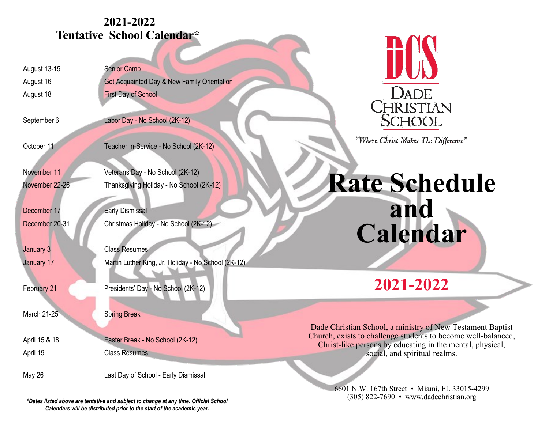# **2021-2022 Tentative School Calendar\***

August 13-15 Senior Camp

August 16 Get Acquainted Day & New Family Orientation August 18 First Day of School

September 6 Labor Day - No School (2K-12)

October 11 Teacher In-Service - No School (2K-12)

November 11 Veterans Day - No School (2K-12)

November 22-26 Thanksgiving Holiday - No School (2K-12)

December 17 Early Dismissal December 20-31 Christmas Holiday - No School (2K-12)

**January 3** Class Resumes January 17 Martin Luther King, Jr. Holiday - No School (2K-12)

February 21 **Presidents' Day - No School (2K-12)** 

March 21-25 Spring Break

April 15 & 18 Easter Break - No School (2K-12) April 19 Class Resumes

May 26 **Last Day of School - Early Dismissal** 

*\*Dates listed above are tentative and subject to change at any time. Official School Calendars will be distributed prior to the start of the academic year.*



"Where Christ Makes The Difference"

**Rate Schedule and Calendar**

**2021-2022**

Dade Christian School, a ministry of New Testament Baptist Church, exists to challenge students to become well-balanced, Christ-like persons by educating in the mental, physical, social, and spiritual realms.

> 6601 N.W. 167th Street • Miami, FL 33015-4299 (305) 822-7690 • www.dadechristian.org